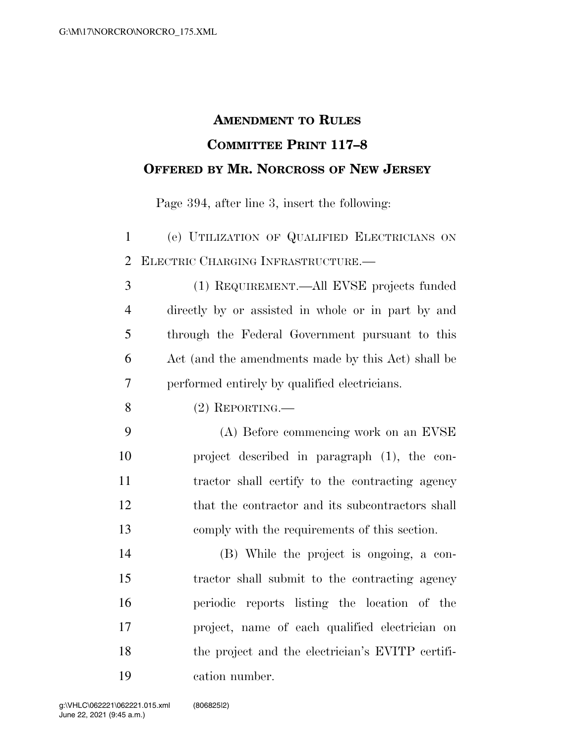## **AMENDMENT TO RULES COMMITTEE PRINT 117–8 OFFERED BY MR. NORCROSS OF NEW JERSEY**

Page 394, after line 3, insert the following:

 (e) UTILIZATION OF QUALIFIED ELECTRICIANS ON ELECTRIC CHARGING INFRASTRUCTURE.—

 (1) REQUIREMENT.—All EVSE projects funded directly by or assisted in whole or in part by and through the Federal Government pursuant to this Act (and the amendments made by this Act) shall be performed entirely by qualified electricians.

(2) REPORTING.—

 (A) Before commencing work on an EVSE project described in paragraph (1), the con- tractor shall certify to the contracting agency that the contractor and its subcontractors shall comply with the requirements of this section.

 (B) While the project is ongoing, a con- tractor shall submit to the contracting agency periodic reports listing the location of the project, name of each qualified electrician on the project and the electrician's EVITP certifi-cation number.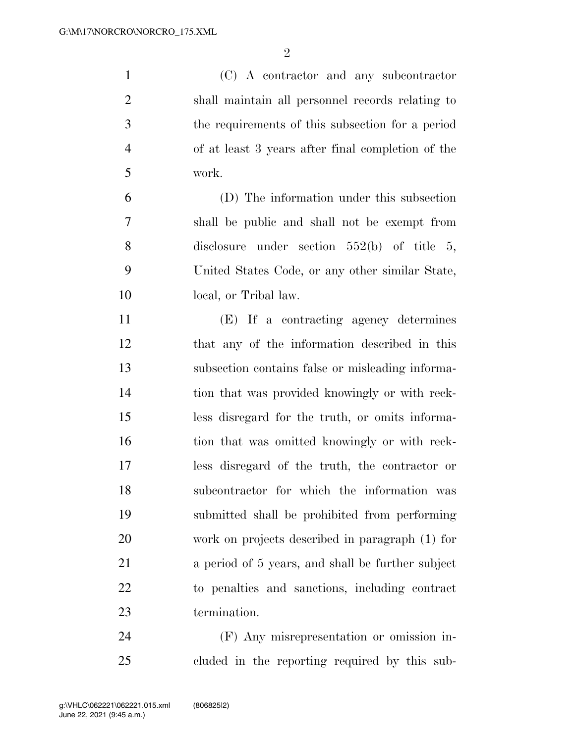(C) A contractor and any subcontractor shall maintain all personnel records relating to the requirements of this subsection for a period of at least 3 years after final completion of the work. (D) The information under this subsection shall be public and shall not be exempt from disclosure under section 552(b) of title 5, United States Code, or any other similar State,

local, or Tribal law.

 (E) If a contracting agency determines that any of the information described in this subsection contains false or misleading informa- tion that was provided knowingly or with reck- less disregard for the truth, or omits informa-16 tion that was omitted knowingly or with reck- less disregard of the truth, the contractor or subcontractor for which the information was submitted shall be prohibited from performing work on projects described in paragraph (1) for a period of 5 years, and shall be further subject to penalties and sanctions, including contract termination.

 (F) Any misrepresentation or omission in-cluded in the reporting required by this sub-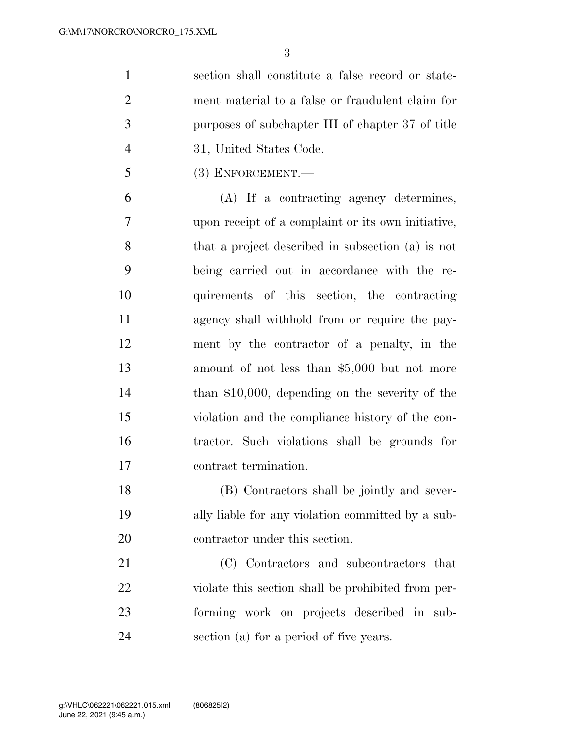section shall constitute a false record or state- ment material to a false or fraudulent claim for purposes of subchapter III of chapter 37 of title 31, United States Code.

(3) ENFORCEMENT.—

 (A) If a contracting agency determines, upon receipt of a complaint or its own initiative, that a project described in subsection (a) is not being carried out in accordance with the re- quirements of this section, the contracting agency shall withhold from or require the pay- ment by the contractor of a penalty, in the amount of not less than \$5,000 but not more than \$10,000, depending on the severity of the violation and the compliance history of the con- tractor. Such violations shall be grounds for contract termination.

 (B) Contractors shall be jointly and sever- ally liable for any violation committed by a sub-contractor under this section.

 (C) Contractors and subcontractors that violate this section shall be prohibited from per- forming work on projects described in sub-section (a) for a period of five years.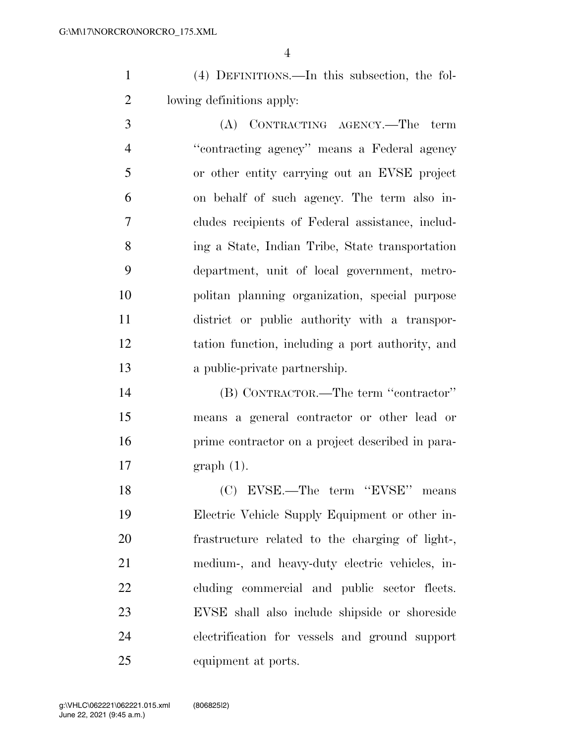(4) DEFINITIONS.—In this subsection, the fol-lowing definitions apply:

 (A) CONTRACTING AGENCY.—The term ''contracting agency'' means a Federal agency or other entity carrying out an EVSE project on behalf of such agency. The term also in- cludes recipients of Federal assistance, includ- ing a State, Indian Tribe, State transportation department, unit of local government, metro- politan planning organization, special purpose district or public authority with a transpor- tation function, including a port authority, and a public-private partnership.

 (B) CONTRACTOR.—The term ''contractor'' means a general contractor or other lead or prime contractor on a project described in para-graph (1).

 (C) EVSE.—The term ''EVSE'' means Electric Vehicle Supply Equipment or other in- frastructure related to the charging of light-, medium-, and heavy-duty electric vehicles, in- cluding commercial and public sector fleets. EVSE shall also include shipside or shoreside electrification for vessels and ground support equipment at ports.